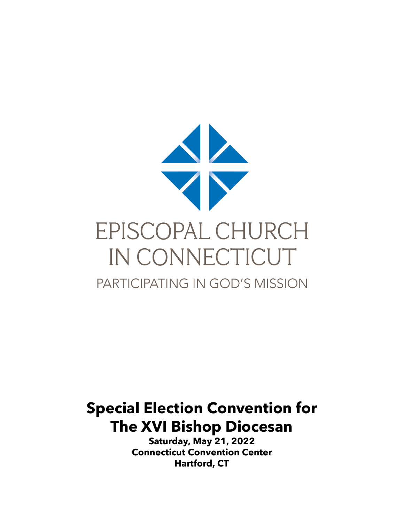

# **Special Election Convention for The XVI Bishop Diocesan**

**Saturday, May 21, 2022 Connecticut Convention Center Hartford, CT**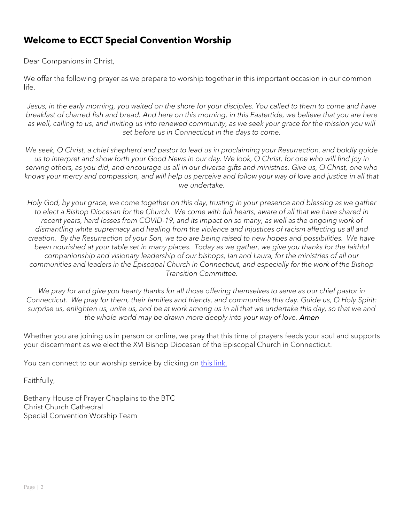### **Welcome to ECCT Special Convention Worship**

Dear Companions in Christ,

We offer the following prayer as we prepare to worship together in this important occasion in our common life.

*Jesus, in the early morning, you waited on the shore for your disciples. You called to them to come and have breakfast of charred fish and bread. And here on this morning, in this Eastertide, we believe that you are here*  as well, calling to us, and inviting us into renewed community, as we seek your grace for the mission you will *set before us in Connecticut in the days to come.*

*We seek, O Christ, a chief shepherd and pastor to lead us in proclaiming your Resurrection, and boldly guide us to interpret and show forth your Good News in our day. We look, O Christ, for one who will find joy in serving others, as you did, and encourage us all in our diverse gifts and ministries. Give us, O Christ, one who knows your mercy and compassion, and will help us perceive and follow your way of love and justice in all that we undertake.*

*Holy God, by your grace, we come together on this day, trusting in your presence and blessing as we gather to elect a Bishop Diocesan for the Church. We come with full hearts, aware of all that we have shared in recent years, hard losses from COVID-19, and its impact on so many, as well as the ongoing work of dismantling white supremacy and healing from the violence and injustices of racism affecting us all and creation. By the Resurrection of your Son, we too are being raised to new hopes and possibilities. We have been nourished at your table set in many places. Today as we gather, we give you thanks for the faithful companionship and visionary leadership of our bishops, Ian and Laura, for the ministries of all our communities and leaders in the Episcopal Church in Connecticut, and especially for the work of the Bishop Transition Committee.*

*We pray for and give you hearty thanks for all those offering themselves to serve as our chief pastor in Connecticut. We pray for them, their families and friends, and communities this day. Guide us, O Holy Spirit: surprise us, enlighten us, unite us, and be at work among us in all that we undertake this day, so that we and the whole world may be drawn more deeply into your way of love. Amen*

Whether you are joining us in person or online, we pray that this time of prayers feeds your soul and supports your discernment as we elect the XVI Bishop Diocesan of the Episcopal Church in Connecticut.

You can connect to our worship service by clicking on this link.

Faithfully,

Bethany House of Prayer Chaplains to the BTC Christ Church Cathedral Special Convention Worship Team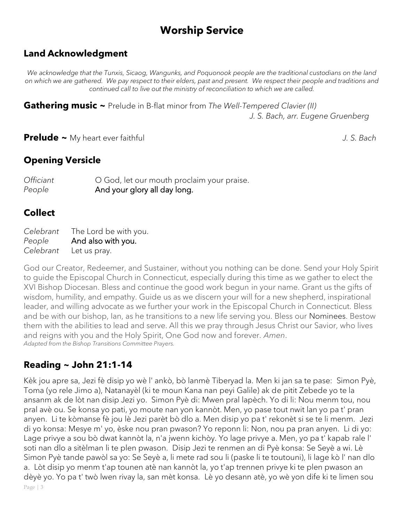# **Worship Service**

### **Land Acknowledgment**

*We acknowledge that the Tunxis, Sicaog, Wangunks, and Poquonook people are the traditional custodians on the land on which we are gathered. We pay respect to their elders, past and present. We respect their people and traditions and continued call to live out the ministry of reconciliation to which we are called.*

**Gathering music ~** Prelude in B-flat minor from *The Well-Tempered Clavier (II) J. S. Bach, arr. Eugene Gruenberg* 

**Prelude ~** My heart ever faithful *J. S. Bach*

### **Opening Versicle**

*Officiant* **O** God, let our mouth proclaim your praise. *People* **And your glory all day long.** 

### **Collect**

*Celebrant* The Lord be with you. *People* And also with you. *Celebrant* Let us pray.

God our Creator, Redeemer, and Sustainer, without you nothing can be done. Send your Holy Spirit to guide the Episcopal Church in Connecticut, especially during this time as we gather to elect the XVI Bishop Diocesan. Bless and continue the good work begun in your name. Grant us the gifts of wisdom, humility, and empathy. Guide us as we discern your will for a new shepherd, inspirational leader, and willing advocate as we further your work in the Episcopal Church in Connecticut. Bless and be with our bishop, Ian, as he transitions to a new life serving you. Bless our Nominees. Bestow them with the abilities to lead and serve. All this we pray through Jesus Christ our Savior, who lives and reigns with you and the Holy Spirit, One God now and forever. *Amen*. *Adapted from the Bishop Transitions Committee Prayers.* 

### **Reading ~ John 21:1-14**

Page | 3 Kèk jou apre sa, Jezi fè disip yo wè l' ankò, bò lanmè Tiberyad la. Men ki jan sa te pase: Simon Pyè, Toma (yo rele Jimo a), Natanayèl (ki te moun Kana nan peyi Galile) ak de pitit Zebede yo te la ansanm ak de lòt nan disip Jezi yo. Simon Pyè di: Mwen pral lapèch. Yo di li: Nou menm tou, nou pral avè ou. Se konsa yo pati, yo moute nan yon kannòt. Men, yo pase tout nwit lan yo pa t' pran anyen. Li te kòmanse fè jou lè Jezi parèt bò dlo a. Men disip yo pa t' rekonèt si se te li menm. Jezi di yo konsa: Mesye m' yo, èske nou pran pwason? Yo reponn li: Non, nou pa pran anyen. Li di yo: Lage privye a sou bò dwat kannòt la, n'a jwenn kichòy. Yo lage privye a. Men, yo pa t' kapab rale l' soti nan dlo a sitèlman li te plen pwason. Disip Jezi te renmen an di Pyè konsa: Se Seyè a wi. Lè Simon Pyè tande pawòl sa yo: Se Seyè a, li mete rad sou li (paske li te toutouni), li lage kò l' nan dlo a. Lòt disip yo menm t'ap tounen atè nan kannòt la, yo t'ap trennen privye ki te plen pwason an dèyè yo. Yo pa t' twò lwen rivay la, san mèt konsa. Lè yo desann atè, yo wè yon dife ki te limen sou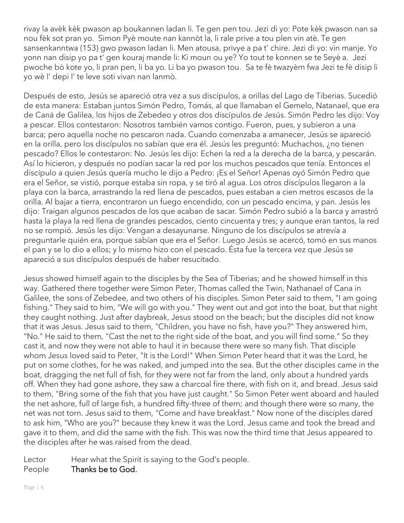rivay la avèk kèk pwason ap boukannen ladan li. Te gen pen tou. Jezi di yo: Pote kèk pwason nan sa nou fèk sot pran yo. Simon Pyè moute nan kannòt la, li rale prive a tou plen vin atè. Te gen sansenkanntwa (153) gwo pwason ladan li. Men atousa, privye a pa t' chire. Jezi di yo: vin manje. Yo yonn nan disip yo pa t' gen kouraj mande li: Ki moun ou ye? Yo tout te konnen se te Seyè a. Jezi pwoche bò kote yo, li pran pen, li ba yo. Li ba yo pwason tou. Sa te fè twazyèm fwa Jezi te fè disip li yo wè l' depi l' te leve soti vivan nan lanmò.

Después de esto, Jesús se apareció otra vez a sus discípulos, a orillas del Lago de Tiberias. Sucedió de esta manera: Estaban juntos Simón Pedro, Tomás, al que llamaban el Gemelo, Natanael, que era de Caná de Galilea, los hijos de Zebedeo y otros dos discípulos de Jesús. Simón Pedro les dijo: Voy a pescar. Ellos contestaron: Nosotros también vamos contigo. Fueron, pues, y subieron a una barca; pero aquella noche no pescaron nada. Cuando comenzaba a amanecer, Jesús se apareció en la orilla, pero los discípulos no sabían que era él. Jesús les preguntó: Muchachos, ¿no tienen pescado? Ellos le contestaron: No. Jesús les dijo: Echen la red a la derecha de la barca, y pescarán. Así lo hicieron, y después no podían sacar la red por los muchos pescados que tenía. Entonces el discípulo a quien Jesús quería mucho le dijo a Pedro: ¡Es el Señor! Apenas oyó Simón Pedro que era el Señor, se vistió, porque estaba sin ropa, y se tiró al agua. Los otros discípulos llegaron a la playa con la barca, arrastrando la red llena de pescados, pues estaban a cien metros escasos de la orilla. Al bajar a tierra, encontraron un fuego encendido, con un pescado encima, y pan. Jesús les dijo: Traigan algunos pescados de los que acaban de sacar. Simón Pedro subió a la barca y arrastró hasta la playa la red llena de grandes pescados, ciento cincuenta y tres; y aunque eran tantos, la red no se rompió. Jesús les dijo: Vengan a desayunarse. Ninguno de los discípulos se atrevía a preguntarle quién era, porque sabían que era el Señor. Luego Jesús se acercó, tomó en sus manos el pan y se lo dio a ellos; y lo mismo hizo con el pescado. Ésta fue la tercera vez que Jesús se apareció a sus discípulos después de haber resucitado.

Jesus showed himself again to the disciples by the Sea of Tiberias; and he showed himself in this way. Gathered there together were Simon Peter, Thomas called the Twin, Nathanael of Cana in Galilee, the sons of Zebedee, and two others of his disciples. Simon Peter said to them, "I am going fishing." They said to him, "We will go with you." They went out and got into the boat, but that night they caught nothing. Just after daybreak, Jesus stood on the beach; but the disciples did not know that it was Jesus. Jesus said to them, "Children, you have no fish, have you?" They answered him, "No." He said to them, "Cast the net to the right side of the boat, and you will find some." So they cast it, and now they were not able to haul it in because there were so many fish. That disciple whom Jesus loved said to Peter, "It is the Lord!" When Simon Peter heard that it was the Lord, he put on some clothes, for he was naked, and jumped into the sea. But the other disciples came in the boat, dragging the net full of fish, for they were not far from the land, only about a hundred yards off. When they had gone ashore, they saw a charcoal fire there, with fish on it, and bread. Jesus said to them, "Bring some of the fish that you have just caught." So Simon Peter went aboard and hauled the net ashore, full of large fish, a hundred fifty-three of them; and though there were so many, the net was not torn. Jesus said to them, "Come and have breakfast." Now none of the disciples dared to ask him, "Who are you?" because they knew it was the Lord. Jesus came and took the bread and gave it to them, and did the same with the fish. This was now the third time that Jesus appeared to the disciples after he was raised from the dead.

Lector Hear what the Spirit is saying to the God's people.

People Thanks be to God.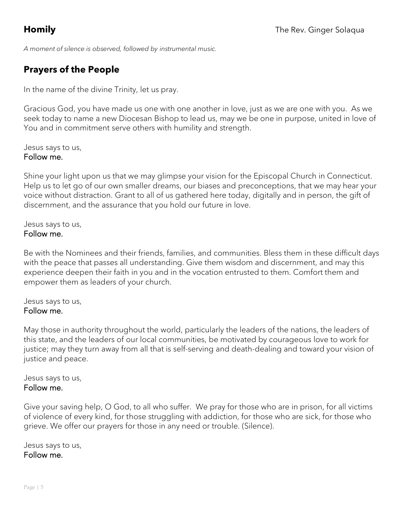*A moment of silence is observed, followed by instrumental music.* 

## **Prayers of the People**

In the name of the divine Trinity, let us pray.

Gracious God, you have made us one with one another in love, just as we are one with you. As we seek today to name a new Diocesan Bishop to lead us, may we be one in purpose, united in love of You and in commitment serve others with humility and strength.

Jesus says to us, Follow me.

Shine your light upon us that we may glimpse your vision for the Episcopal Church in Connecticut. Help us to let go of our own smaller dreams, our biases and preconceptions, that we may hear your voice without distraction. Grant to all of us gathered here today, digitally and in person, the gift of discernment, and the assurance that you hold our future in love.

Jesus says to us, Follow me.

Be with the Nominees and their friends, families, and communities. Bless them in these difficult days with the peace that passes all understanding. Give them wisdom and discernment, and may this experience deepen their faith in you and in the vocation entrusted to them. Comfort them and empower them as leaders of your church.

Jesus says to us, Follow me.

May those in authority throughout the world, particularly the leaders of the nations, the leaders of this state, and the leaders of our local communities, be motivated by courageous love to work for justice; may they turn away from all that is self-serving and death-dealing and toward your vision of justice and peace.

Jesus says to us, Follow me.

Give your saving help, O God, to all who suffer. We pray for those who are in prison, for all victims of violence of every kind, for those struggling with addiction, for those who are sick, for those who grieve. We offer our prayers for those in any need or trouble. (Silence).

Jesus says to us, Follow me.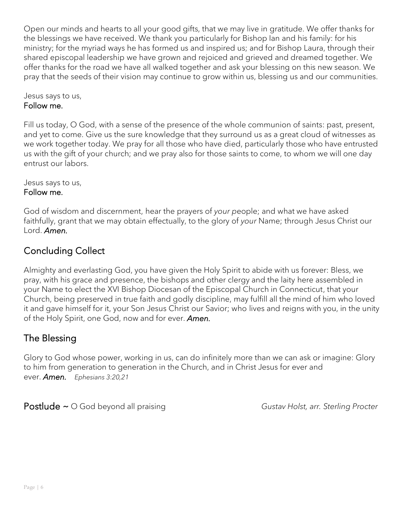Open our minds and hearts to all your good gifts, that we may live in gratitude. We offer thanks for the blessings we have received. We thank you particularly for Bishop Ian and his family: for his ministry; for the myriad ways he has formed us and inspired us; and for Bishop Laura, through their shared episcopal leadership we have grown and rejoiced and grieved and dreamed together. We offer thanks for the road we have all walked together and ask your blessing on this new season. We pray that the seeds of their vision may continue to grow within us, blessing us and our communities.

Jesus says to us, Follow me.

Fill us today, O God, with a sense of the presence of the whole communion of saints: past, present, and yet to come. Give us the sure knowledge that they surround us as a great cloud of witnesses as we work together today. We pray for all those who have died, particularly those who have entrusted us with the gift of your church; and we pray also for those saints to come, to whom we will one day entrust our labors.

Jesus says to us, Follow me.

God of wisdom and discernment, hear the prayers of *your p*eople; and what we have asked faithfully, grant that we may obtain effectually, to the glory of *your* Name; through Jesus Christ our Lord. *Amen.*

## Concluding Collect

Almighty and everlasting God, you have given the Holy Spirit to abide with us forever: Bless, we pray, with his grace and presence, the bishops and other clergy and the laity here assembled in your Name to elect the XVI Bishop Diocesan of the Episcopal Church in Connecticut, that your Church, being preserved in true faith and godly discipline, may fulfill all the mind of him who loved it and gave himself for it, your Son Jesus Christ our Savior; who lives and reigns with you, in the unity of the Holy Spirit, one God, now and for ever. *Amen.*

### The Blessing

Glory to God whose power, working in us, can do infinitely more than we can ask or imagine: Glory to him from generation to generation in the Church, and in Christ Jesus for ever and ever. *Amen. Ephesians 3:20,21*

Postlude ~ O God beyond all praising **Figure 2018** Gustav Holst, arr. Sterling Procter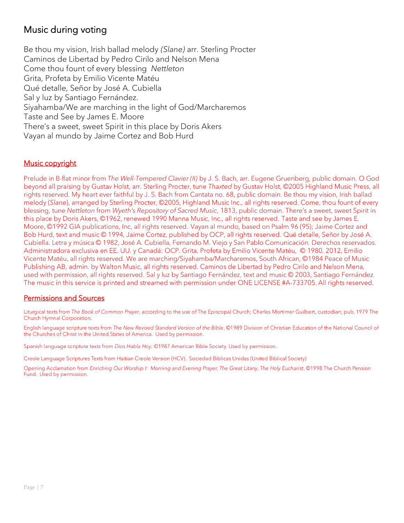### Music during voting

Be thou my vision, Irish ballad melody *(Slane)* arr. Sterling Procter Caminos de Libertad by Pedro Cirilo and Nelson Mena Come thou fount of every blessing *Nettleton* Grita, Profeta by Emilio Vicente Matéu Qué detalle, Señor by José A. Cubiella Sal y luz by Santiago Fernández. Siyahamba/We are marching in the light of God/Marcharemos Taste and See by James E. Moore There's a sweet, sweet Spirit in this place by Doris Akers Vayan al mundo by Jaime Cortez and Bob Hurd

### Music copyright

Prelude in B-flat minor from *The Well-Tempered Clavier (II)* by J. S. Bach, arr. Eugene Gruenberg, public domain. O God beyond all praising by Gustav Holst, arr. Sterling Procter, tune *Thaxted* by Gustav Holst, ©2005 Highland Music Press, all rights reserved. My heart ever faithful by J. S. Bach from Cantata no. 68, public domain. Be thou my vision, Irish ballad melody (*Slane*), arranged by Sterling Procter, ©2005, Highland Music Inc., all rights reserved. Come, thou fount of every blessing, tune *Nettleton* from *Wyeth's Repository of Sacred Music*, 1813, public domain. There's a sweet, sweet Spirit in this place by Doris Akers, ©1962, renewed 1990 Manna Music, Inc., all rights reserved. Taste and see by James E. Moore, ©1992 GIA publications, Inc, all rights reserved. Vayan al mundo, based on Psalm 96 (95); Jaime Cortez and Bob Hurd, text and music © 1994, Jaime Cortez, published by OCP, all rights reserved. Qué detalle, Señor by José A. Cubiella. Letra y música © 1982, José A. Cubiella, Fernando M. Viejo y San Pablo Comunicación. Derechos reservados. Administradora exclusiva en EE. UU. y Canadá: OCP. Grita, Profeta by Emilio Vicente Matéu, © 1980, 2012, Emilio Vicente Matéu, all rights reserved. We are marching/Siyahamba/Marcharemos, South African, ©1984 Peace of Music Publishing AB, admin. by Walton Music, all rights reserved. Caminos de Libertad by Pedro Cirilo and Nelson Mena, used with permission, all rights reserved. Sal y luz by Santiago Fernández, text and music © 2003, Santiago Fernández. The music in this service is printed and streamed with permission under ONE LICENSE #A-733705. All rights reserved.

### Permissions and Sources

Liturgical texts from *The Book of Common Prayer*, according to the use of The Episcopal Church; Charles Mortimer Guilbert, custodian; pub. 1979 The Church Hymnal Corporation.

English language scripture texts from *The New Revised Standard Version of the Bible*, ©1989 Division of Christian Education of the National Council of the Churches of Christ in the United States of America. Used by permission.

Spanish language scripture texts from *Dios Habla Hoy,* ©1987 American Bible Society. Used by permission.

Creole Language Scriptures Texts from Haitian Creole Version (HCV). Sociedad Biblicas Unidas (United Biblical Society)

Opening Acclamation from *Enriching Our Worship I: Morning and Evening Prayer*, The Great Litany, The Holy Eucharist, ©1998 The Church Pension Fund. Used by permission.